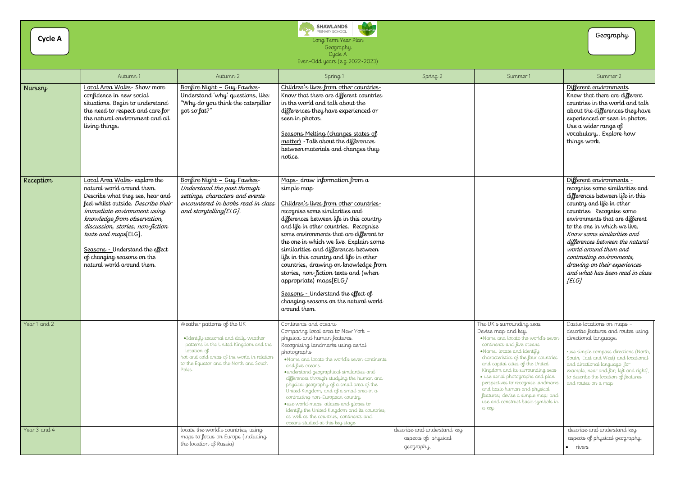| <b>Cycle A</b> |                                                                                                                                                                                                                                                                                                                                                                |                                                                                                                                                                                                                               | <b>SHAWLANDS</b><br>PRIMARY SCHOOL<br>Long Term Year Plan<br>Geography<br>Cycle A<br>Even-Odd years (e.g. 2022-2023)                                                                                                                                                                                                                                                                                                                                                                                                                                                                                                        |                                                                   |                                                                                                                                                                                                                                                                                                                                                                                                                                                                       | Geography                                                                                                                                                                                                                                                                                                                                                                                                                       |
|----------------|----------------------------------------------------------------------------------------------------------------------------------------------------------------------------------------------------------------------------------------------------------------------------------------------------------------------------------------------------------------|-------------------------------------------------------------------------------------------------------------------------------------------------------------------------------------------------------------------------------|-----------------------------------------------------------------------------------------------------------------------------------------------------------------------------------------------------------------------------------------------------------------------------------------------------------------------------------------------------------------------------------------------------------------------------------------------------------------------------------------------------------------------------------------------------------------------------------------------------------------------------|-------------------------------------------------------------------|-----------------------------------------------------------------------------------------------------------------------------------------------------------------------------------------------------------------------------------------------------------------------------------------------------------------------------------------------------------------------------------------------------------------------------------------------------------------------|---------------------------------------------------------------------------------------------------------------------------------------------------------------------------------------------------------------------------------------------------------------------------------------------------------------------------------------------------------------------------------------------------------------------------------|
|                | Autumn 1                                                                                                                                                                                                                                                                                                                                                       | Autumn 2                                                                                                                                                                                                                      | Spring 1                                                                                                                                                                                                                                                                                                                                                                                                                                                                                                                                                                                                                    | Spring 2                                                          | Summer 1                                                                                                                                                                                                                                                                                                                                                                                                                                                              | Summer 2                                                                                                                                                                                                                                                                                                                                                                                                                        |
| Nursery        | Local Area Walks- Show more<br>confidence in new social<br>situations. Begin to understand<br>the need to respect and care for<br>the natural environment and all<br>living things.                                                                                                                                                                            | Bonfire Night - Guy Fawkes<br>Understand 'why' questions, like:<br>"Why do you think the caterpillar<br>got so fat?"                                                                                                          | Children's lives from other countries<br>Know that there are different countries<br>in the world and talk about the<br>differences they have experienced or<br>seen in photos.<br>Seasons Melting (changes states of<br>matter) - Talk about the differences<br>between materials and changes they<br>notice.                                                                                                                                                                                                                                                                                                               |                                                                   |                                                                                                                                                                                                                                                                                                                                                                                                                                                                       | Different environments<br>Know that there are different<br>countries in the world and talk<br>about the differences they have<br>experienced or seen in photos.<br>Use a wider range of<br>vocabulary Explore how<br>things work.                                                                                                                                                                                               |
| Reception      | Local Area Walks-explore the<br>natural world around them.<br>Describe what they see, hear and<br>feel whilst outside. Describe their<br>immediate environment using<br>knowledge from observation,<br>discussion, stories, non-fiction<br>texts and maps[ELG].<br>Seasons - Understand the effect<br>of changing seasons on the<br>natural world around them. | Bonfire Night - Guy Fawkes<br>Understand the past through<br>settings, characters and events<br>encountered in books read in class<br>and storytelling[ELG].                                                                  | Maps-draw information from a<br>simple map<br>Children's lives from other countries<br>recognise some similarities and<br>differences between life in this country<br>and life in other countries. Recognise<br>some environments that are different to<br>the one in which we live. Explain some<br>similarities and differences between<br>life in this country and life in other<br>countries, drawing on knowledge from<br>stories, non-fiction texts and (when<br>appropriate) maps[ELG]<br>Seasons - Understand the effect of<br>changing seasons on the natural world<br>around them.                                |                                                                   |                                                                                                                                                                                                                                                                                                                                                                                                                                                                       | Different environments -<br>recognise some similarities and<br>differences between life in this<br>country and life in other<br>countries. Recognise some<br>environments that are different<br>to the one in which we live.<br>Know some similarities and<br>differences between the natural<br>world around them and<br>contrasting environments,<br>drawing on their experiences<br>and what has been read in class<br>[ELG] |
| Year 1 and 2   |                                                                                                                                                                                                                                                                                                                                                                | Weather patterns of the UK<br>·Identify seasonal and daily weather<br>patterns in the United Kingdom and the<br>location of<br>hot and cold areas of the world in relation<br>to the Equator and the North and South<br>Poles | Continents and oceans<br>Comparing local area to New York -<br>physical and human features.<br>Recognising landmarks using aerial<br>photographs<br>. Name and locate the world's seven continents<br>and five oceans<br>· understand geographical similarities and<br>differences through studying the human and<br>physical geography of a small area of the<br>United Kingdom, and of a small area in a<br>contrasting non-European country<br>· use world maps, atlases and globes to<br>identify the United Kingdom and its countries,<br>as well as the countries, continents and<br>oceans studied at this key stage |                                                                   | The UK's surrounding seas<br>Devise map and key.<br>. Name and locate the world's seven<br>continents and five oceans<br>.Name, locate and identify<br>characteristics of the four countries<br>and capital cities of the United<br>Kingdom and its surrounding seas<br>· use aerial photographs and plan<br>perspectives to recognise landmarks<br>and basic human and physical<br>features; devise a simple map; and<br>use and construct basic symbols in<br>a key | Castle locations on maps -<br>describe features and routes using<br>directional language.<br>·use simple compass directions (North,<br>South, East and West) and locational<br>and directional language [for<br>example, near and far; left and right],<br>to describe the location of features<br>and routes on a map                                                                                                          |
| Year 3 and 4   |                                                                                                                                                                                                                                                                                                                                                                | locate the world's countries, using<br>maps to focus on Europe (including<br>the location of Russia)                                                                                                                          |                                                                                                                                                                                                                                                                                                                                                                                                                                                                                                                                                                                                                             | describe and understand key<br>aspects of: physical<br>geography, |                                                                                                                                                                                                                                                                                                                                                                                                                                                                       | describe and understand key<br>aspects of physical geography,<br>rivers                                                                                                                                                                                                                                                                                                                                                         |

| Geography |  |
|-----------|--|
|           |  |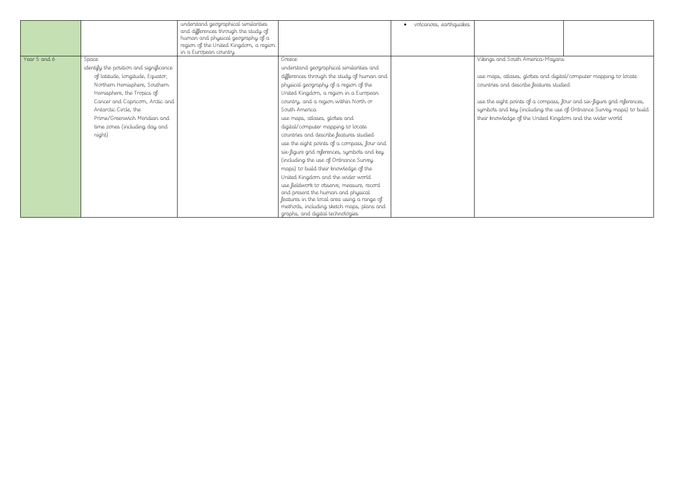|              |                                        | understand geographical similarities   | volcanoes, earthquakes                      |                                                                         |                                                                      |
|--------------|----------------------------------------|----------------------------------------|---------------------------------------------|-------------------------------------------------------------------------|----------------------------------------------------------------------|
|              |                                        | and differences through the study of   |                                             |                                                                         |                                                                      |
|              |                                        | human and physical geography of a      |                                             |                                                                         |                                                                      |
|              |                                        | region of the United Kingdom, a region |                                             |                                                                         |                                                                      |
|              |                                        | in a European country                  |                                             |                                                                         |                                                                      |
| Year 5 and 6 | Space                                  |                                        | Greece                                      | Vikings and South America-Mayans                                        |                                                                      |
|              | identify the position and significance |                                        | understand geographical similarities and    |                                                                         |                                                                      |
|              | of latitude, longitude, Equator,       |                                        | differences through the study of human and  | use maps, atlases, globes and digital/computer mapping to locate        |                                                                      |
|              | Northern Hemisphere, Southern          |                                        | physical geography of a region of the       | countries and describe features studied                                 |                                                                      |
|              | Hemisphere, the Tropics of             |                                        | United Kingdom, a region in a European      |                                                                         |                                                                      |
|              | Cancer and Capricorn, Arctic and       |                                        | country, and a region within North or       | use the eight points of a compass, four and six-figure grid references, |                                                                      |
|              | Antarctic Circle, the                  |                                        | South America                               |                                                                         | symbols and key (including the use of Ordnance Survey maps) to build |
|              | Prime/Greenwich Meridian and           |                                        | use maps, atlases, globes and               | their knowledge of the United Kingdom and the wider world               |                                                                      |
|              | time zones (including day and          |                                        | digital/computer mapping to locate          |                                                                         |                                                                      |
|              | night)                                 |                                        | countries and describe features studied     |                                                                         |                                                                      |
|              |                                        |                                        | use the eight points of a compass, four and |                                                                         |                                                                      |
|              |                                        |                                        | six-figure grid references, symbols and key |                                                                         |                                                                      |
|              |                                        |                                        | (including the use of Ordnance Survey       |                                                                         |                                                                      |
|              |                                        |                                        | maps) to build their knowledge of the       |                                                                         |                                                                      |
|              |                                        |                                        | United Kingdom and the wider world          |                                                                         |                                                                      |
|              |                                        |                                        | use fieldwork to observe, measure, record   |                                                                         |                                                                      |
|              |                                        |                                        | and present the human and physical          |                                                                         |                                                                      |
|              |                                        |                                        | features in the local area using a range of |                                                                         |                                                                      |
|              |                                        |                                        | methods, including sketch maps, plans and   |                                                                         |                                                                      |
|              |                                        |                                        | graphs, and digital technologies            |                                                                         |                                                                      |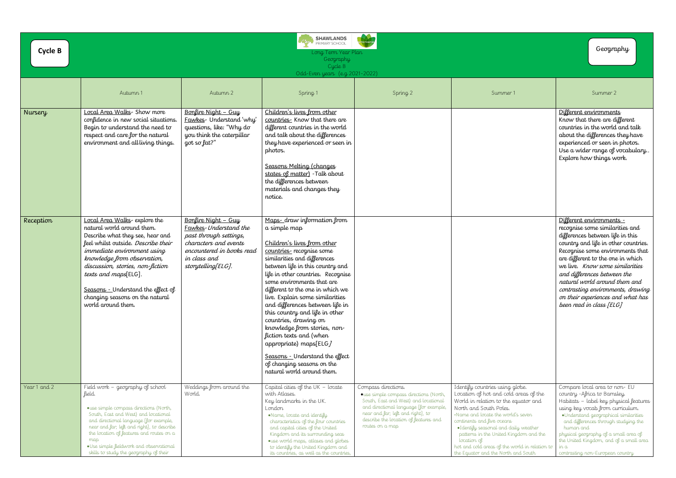| <b>Cycle B</b> |                                                                                                                                                                                                                                                                                                                                                                |                                                                                                                                                                    | SHAWLANDS<br>PRIMARY SCHOOL<br><b>Silver</b><br>Long Term Year Plan<br>Geography<br>Cycle B<br>Odd-Even years (e.g. 2021-2022)                                                                                                                                                                                                                                                                                                                                                                                                                                                                         |                                                                                                                                                                                                                                                  |                                                                                                                                                                                                                                                                                                                                                                                                             | Geography                                                                                                                                                                                                                                                                                                                                                        |
|----------------|----------------------------------------------------------------------------------------------------------------------------------------------------------------------------------------------------------------------------------------------------------------------------------------------------------------------------------------------------------------|--------------------------------------------------------------------------------------------------------------------------------------------------------------------|--------------------------------------------------------------------------------------------------------------------------------------------------------------------------------------------------------------------------------------------------------------------------------------------------------------------------------------------------------------------------------------------------------------------------------------------------------------------------------------------------------------------------------------------------------------------------------------------------------|--------------------------------------------------------------------------------------------------------------------------------------------------------------------------------------------------------------------------------------------------|-------------------------------------------------------------------------------------------------------------------------------------------------------------------------------------------------------------------------------------------------------------------------------------------------------------------------------------------------------------------------------------------------------------|------------------------------------------------------------------------------------------------------------------------------------------------------------------------------------------------------------------------------------------------------------------------------------------------------------------------------------------------------------------|
|                | Autumn 1                                                                                                                                                                                                                                                                                                                                                       | Autumn 2                                                                                                                                                           | Spring 1                                                                                                                                                                                                                                                                                                                                                                                                                                                                                                                                                                                               | Spring 2                                                                                                                                                                                                                                         | Summer 1                                                                                                                                                                                                                                                                                                                                                                                                    | Summer 2                                                                                                                                                                                                                                                                                                                                                         |
| <b>Nursery</b> | Local Area Walks- Show more<br>confidence in new social situations.<br>Begin to understand the need to<br>respect and care for the natural<br>environment and all living things.                                                                                                                                                                               | Bonfire Night - Guy<br>Fawkes- Understand 'why'<br>questions, like: "Why do<br>you think the caterpillar<br>got so fat?"                                           | Children's lives from other<br>countries. Know that there are<br>different countries in the world<br>and talk about the differences<br>they have experienced or seen in<br>photos.<br>Seasons Melting (changes<br>states of matter) - Talk about<br>the differences between<br>materials and changes they<br>notice.                                                                                                                                                                                                                                                                                   |                                                                                                                                                                                                                                                  |                                                                                                                                                                                                                                                                                                                                                                                                             | Different environments<br>Know that there are differe<br>countries in the world and<br>about the differences they<br>experienced or seen in pho<br>Use a wider range of voca<br>Explore how things work.                                                                                                                                                         |
| Reception      | Local Area Walks-explore the<br>natural world around them.<br>Describe what they see, hear and<br>feel whilst outside. Describe their<br>immediate environment using<br>knowledge from observation,<br>discussion, stories, non-fiction<br>texts and maps[ELG].<br>Seasons - Understand the effect of<br>changing seasons on the natural<br>world around them. | Bonfire Night - Guy<br>Fawkes-Understand the<br>past through settings,<br>characters and events<br>encountered in books read<br>in class and<br>storytelling[ELG]. | Maps-draw information from<br>a simple map<br>Children's lives from other<br>countries-recognise some<br>similarities and differences<br>between life in this country and<br>life in other countries. Recognise<br>some environments that are<br>different to the one in which we<br>live. Explain some similarities<br>and differences between life in<br>this country and life in other<br>countries, drawing on<br>knowledge from stories, non-<br>fiction texts and (when<br>appropriate) maps[ELG]<br>Seasons - Understand the effect<br>of changing seasons on the<br>natural world around them. |                                                                                                                                                                                                                                                  |                                                                                                                                                                                                                                                                                                                                                                                                             | Different environments -<br>recognise some similarities<br>differences between life in<br>country and life in other co<br>Recognise some environme<br>are different to the one in<br>we live. Know some simile<br>and differences between th<br>natural world around then<br>contrasting environments,<br>on their experiences and w<br>been read in class [ELG] |
| Year 1 and 2   | Field work - geography of school<br>field.<br>• use simple compass directions (North,<br>South, East and West) and locational<br>and directional language [for example,<br>near and far; left and right], to describe<br>the location of features and routes on a<br>map<br>. Use simple fieldwork and observational<br>skills to study the geography of their | Weddings from around the<br>World.                                                                                                                                 | Capital cities of the UK $-$ locate<br>with Atlases.<br>Key landmarks in the UK.<br>London<br>•Name, locate and identify<br>characteristics of the four countries<br>and capital cities of the United<br>Kingdom and its surrounding seas<br>· use world maps, atlases and globes<br>to identify the United Kingdom and<br>its countries, as well as the countries,                                                                                                                                                                                                                                    | Compass directions.<br>· use simple compass directions (North<br>South, East and West) and locational<br>and directional language [for example,<br>near and far; left and right], to<br>describe the location of features and<br>routes on a map | Identify countries using globe.<br>Location of hot and cold areas of the<br>World in relation to the equator and<br>North and South Poles.<br>. Name and locate the world's seven<br>continents and five oceans<br>. I dentify seasonal and daily weather<br>patterns in the United Kingdom and the<br>location of<br>hot and cold areas of the world in relation to<br>the Equator and the North and South | Compare local area to non-<br>country - Africa to Barnsley.<br>Habitats - label key physica<br>using key vocab from curricu<br>·Understand geographical sim<br>and differences through study<br>human and<br>physical geography of a small o<br>the United Kingdom, and of a s<br>$\ln a$<br>contrasting non-European count                                      |

|                                                                                                                               | Geography                                                                                                                                                                                                                                                                                                                                                                                                                 |
|-------------------------------------------------------------------------------------------------------------------------------|---------------------------------------------------------------------------------------------------------------------------------------------------------------------------------------------------------------------------------------------------------------------------------------------------------------------------------------------------------------------------------------------------------------------------|
| - 1                                                                                                                           | Summer 2                                                                                                                                                                                                                                                                                                                                                                                                                  |
|                                                                                                                               | Different environments<br>Know that there are different<br>countries in the world and talk<br>about the differences they have<br>experienced or seen in photos.<br>Use a wider range of vocabulary<br>Explore how things work.                                                                                                                                                                                            |
|                                                                                                                               | Different environments -<br>recognise some similarities and<br>differences between life in this<br>country and life in other countries.<br>Recognise some environments that<br>are different to the one in which<br>we live. Know some similarities<br>and differences between the<br>natural world around them and<br>contrasting environments, drawing<br>on their experiences and what has<br>been read in class [ELG] |
| globe.<br>d areas of the<br>equator and<br>tďs seven<br>laily weather<br>ingdom and the<br>world in relation to<br>vand South | Compare local area to non- EU<br>country - Africa to Barnsley.<br>Habitats - label key physical features<br>using key vocab from curriculum.<br>•Understand geographical similarities<br>and differences through studying the<br>human and<br>physical geography of a small area of<br>the United Kingdom, and of a small area<br>in a<br>contrasting non-European country                                                |